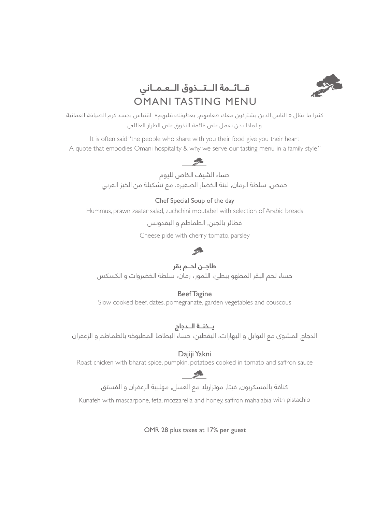

# **قــــائـــمة الــــتــــذوق الـــعــمـــاني** OMANI TASTING MENU

كثيرا ما يقال » الناس الذين يشتركون معك طعامهم, يعطونك قلبهم« اقتباس يجسد كرم الضيافة العمانية و لماذا نحن نعمل على قائمة التذوق على الطراز العائلي

It is often said "the people who share with you their food give you their heart A quote that embodies Omani hospitality & why we serve our tasting menu in a family style."

# **CONTRACTOR**

حساء الشيف الخاص لليوم

حمص, سلطة الرمان, لبنة الخضار الصغيره. مع تشكيلة من الخبز العربي

#### Chef Special Soup of the day

Hummus, prawn zaatar salad, zuchchini moutabel with selection of Arabic breads

فطائر بالجبن, الطماطم و البقدونس

Cheese pide with cherry tomato, parsley

# $\mathcal{L}$

## **طاجـــن لحـــم بقر**

حساء لحم البقر المطهو ببطئ، التمور، رمان، سلطة الخضروات و الكسكس

### Beef Tagine

Slow cooked beef, dates, pomegranate, garden vegetables and couscous

### **يـــخنـــة الـــدجاج**

الدجاج المشوي مع التوابل و البهارات، اليقطين، حساء البطاطا المطبوخه بالطماطم و الزعفران

### Dajiji Yakni

Roast chicken with bharat spice, pumpkin, potatoes cooked in tomato and saffron sauce

## 

كنافة بالمسكربون, فيتا, موتزاريال مع العسل, مهلبية الزعفران و الفستق

Kunafeh with mascarpone, feta, mozzarella and honey, saffron mahalabia with pistachio

OMR 28 plus taxes at 17% per guest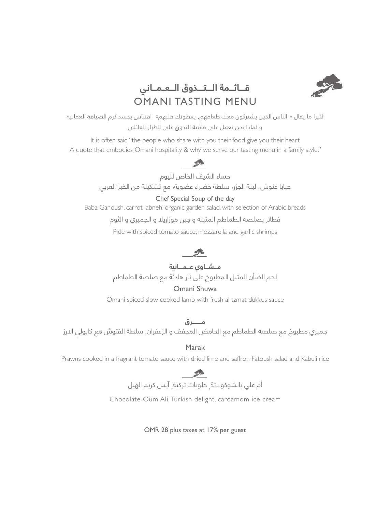

# **قــــائـــمة الــــتــــذوق الـــعــمـــاني** OMANI TASTING MENU

كثيرا ما يقال » الناس الذين يشتركون معك طعامهم, يعطونك قلبهم« اقتباس يجسد كرم الضيافة العمانية و لماذا نحن نعمل على قائمة التذوق على الطراز العائلي

It is often said "the people who share with you their food give you their heart A quote that embodies Omani hospitality & why we serve our tasting menu in a family style."



حساء الشيف الخاص لليوم

حبابا غنوش، لبنة الجزر, سلطة خضراء عضوية, مع تشكيلة من الخبز العربي

#### Chef Special Soup of the day

Baba Ganoush, carrot labneh, organic garden salad, with selection of Arabic breads

فطائر بصلصة الطماطم المتبله و جبن موزاريال و الجمبري و الثوم

Pide with spiced tomato sauce, mozzarella and garlic shrimps

**مـــشـــاوي عـــمــــانية** لحم الضأن المتبل المطبوخ على نار هادئة مع صلصة الطماطم

### Omani Shuwa

Omani spiced slow cooked lamb with fresh al tzmat dukkus sauce

**مـــــــــرق** جمبري مطبوخ مع صلصة الطماطم مع الحامض المجفف و الزعفران, سلطة الفتوش مع كابولي االرز

Marak

Prawns cooked in a fragrant tomato sauce with dried lime and saffron Fatoush salad and Kabuli rice



أم علي بالشوكوالتة, حلويات تركية, آيس كريم الهيل

Chocolate Oum Ali, Turkish delight, cardamom ice cream

OMR 28 plus taxes at 17% per guest